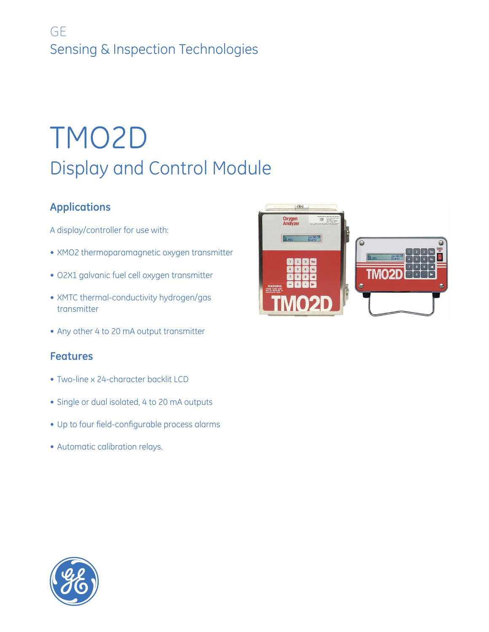## **GE** Sensing & Inspection Technologies

# TMO2D Display and Control Module

## **Applications**

- A display/controller for use with:
- XMO2 thermoparamagnetic oxygen transmitter
- O2X1 galvanic fuel cell oxygen transmitter
- XMTC thermal-conductivity hydrogen/gas transmitter
- Any other 4 to 20 mA output transmitter

### **Features**

- Two-line x 24-character backlit LCD
- Single or dual isolated, 4 to 20 mA outputs
- Up to four field-configurable process alarms
- Automatic calibration relays.



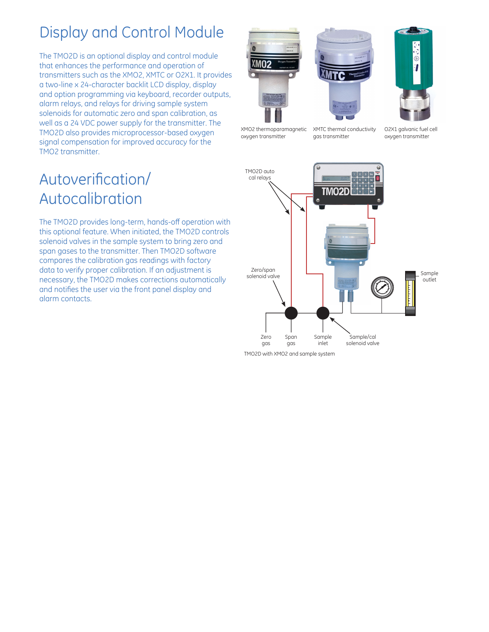## Display and Control Module

The TMO2D is an optional display and control module that enhances the performance and operation of transmitters such as the XMO2, XMTC or O2X1. It provides a two-line x 24-character backlit LCD display, display and option programming via keyboard, recorder outputs, alarm relays, and relays for driving sample system solenoids for automatic zero and span calibration, as well as a 24 VDC power supply for the transmitter. The TMO2D also provides microprocessor-based oxygen signal compensation for improved accuracy for the TMO2 transmitter.







XMO2 thermoparamagnetic oxygen transmitter

XMTC thermal conductivity gas transmitter

O2X1 galvanic fuel cell oxygen transmitter

## Autoverification/ Autocalibration

The TMO2D provides long-term, hands-off operation with this optional feature. When initiated, the TMO2D controls solenoid valves in the sample system to bring zero and span gases to the transmitter. Then TMO2D software compares the calibration gas readings with factory data to verify proper calibration. If an adjustment is necessary, the TMO2D makes corrections automatically and notifies the user via the front panel display and alarm contacts.

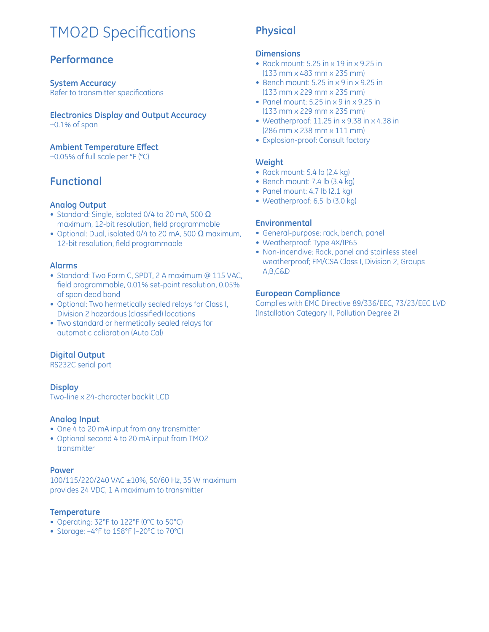## **TMO2D Specifications**

### **Performance**

**System Accuracy** Refer to transmitter specifications

**Electronics Display and Output Accuracy** ±0.1% of span

**Ambient Temperature Eff ect** ±0.05% of full scale per °F (°C)

### **Functional**

#### **Analog Output**

- Standard: Single, isolated 0/4 to 20 mA, 500  $\Omega$ maximum, 12-bit resolution, field programmable
- Optional: Dual, isolated 0/4 to 20 mA, 500  $\Omega$  maximum, 12-bit resolution, field programmable

#### **Alarms**

- Standard: Two Form C, SPDT, 2 A maximum @ 115 VAC, field programmable, 0.01% set-point resolution, 0.05% of span dead band
- Optional: Two hermetically sealed relays for Class I, Division 2 hazardous (classified) locations
- Two standard or hermetically sealed relays for automatic calibration (Auto Cal)

#### **Digital Output**

RS232C serial port

#### **Display**

Two-line x 24-character backlit LCD

#### **Analog Input**

- One 4 to 20 mA input from any transmitter
- Optional second 4 to 20 mA input from TMO2 transmitter

#### **Power**

100/115/220/240 VAC ±10%, 50/60 Hz, 35 W maximum provides 24 VDC, 1 A maximum to transmitter

#### **Temperature**

- Operating: 32°F to 122°F (0°C to 50°C)
- Storage: –4°F to 158°F (–20°C to 70°C)

### **Physical**

#### **Dimensions**

- Rack mount: 5.25 in x 19 in x 9.25 in (133 mm x 483 mm x 235 mm)
- Bench mount: 5.25 in x 9 in x 9.25 in (133 mm x 229 mm x 235 mm)
- Panel mount: 5.25 in x 9 in x 9.25 in (133 mm x 229 mm x 235 mm)
- Weatherproof: 11.25 in x 9.38 in x 4.38 in (286 mm x 238 mm x 111 mm)
- Explosion-proof: Consult factory

#### **Weight**

- Rack mount: 5.4 lb (2.4 kg)
- Bench mount: 7.4 lb (3.4 kg)
- Panel mount:  $4.7$  lb  $(2.1 \text{ kg})$
- Weatherproof: 6.5 lb (3.0 kg)

#### **Environmental**

- General-purpose: rack, bench, panel
- Weatherproof: Type 4X/IP65
- Non-incendive: Rack, panel and stainless steel weatherproof; FM/CSA Class I, Division 2, Groups A,B,C&D

#### **European Compliance**

Complies with EMC Directive 89/336/EEC, 73/23/EEC LVD (Installation Category II, Pollution Degree 2)